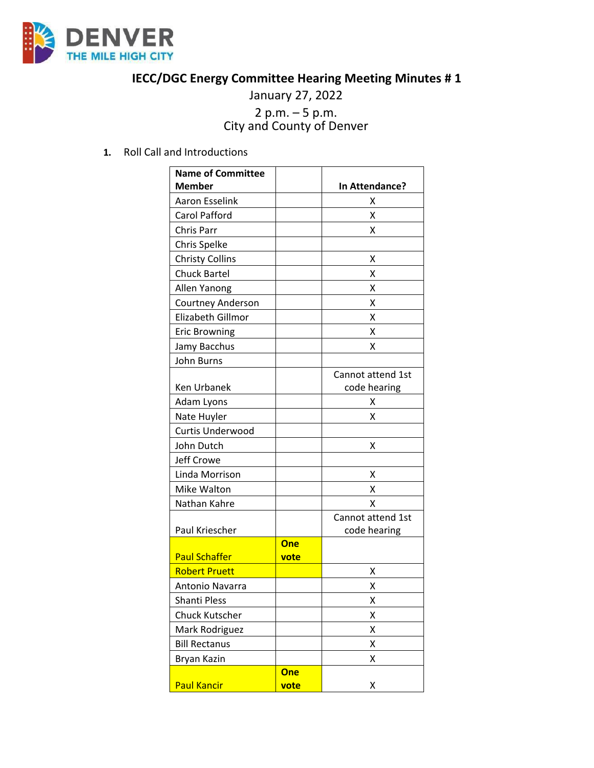

## **IECC/DGC Energy Committee Hearing Meeting Minutes # 1**

## January 27, 2022 <sup>2</sup> p.m. – <sup>5</sup> p.m. City and County of Denver

**1.** Roll Call and Introductions

| <b>Name of Committee</b> |                    |                   |
|--------------------------|--------------------|-------------------|
| <b>Member</b>            |                    | In Attendance?    |
| <b>Aaron Esselink</b>    |                    | χ                 |
| Carol Pafford            |                    | Χ                 |
| Chris Parr               |                    | x                 |
| Chris Spelke             |                    |                   |
| <b>Christy Collins</b>   |                    | χ                 |
| <b>Chuck Bartel</b>      |                    | Χ                 |
| Allen Yanong             |                    | X                 |
| Courtney Anderson        |                    | Χ                 |
| Elizabeth Gillmor        |                    | Χ                 |
| <b>Eric Browning</b>     |                    | Χ                 |
| Jamy Bacchus             |                    | Χ                 |
| John Burns               |                    |                   |
|                          |                    | Cannot attend 1st |
| <b>Ken Urbanek</b>       |                    | code hearing      |
| Adam Lyons               |                    | Χ                 |
| Nate Huyler              |                    | X                 |
| Curtis Underwood         |                    |                   |
| John Dutch               |                    | X                 |
| Jeff Crowe               |                    |                   |
| Linda Morrison           |                    | х                 |
| Mike Walton              |                    | x                 |
| Nathan Kahre             |                    | х                 |
|                          |                    | Cannot attend 1st |
| Paul Kriescher           |                    | code hearing      |
| <b>Paul Schaffer</b>     | <b>One</b><br>vote |                   |
| <b>Robert Pruett</b>     |                    | X                 |
| Antonio Navarra          |                    | Χ                 |
| Shanti Pless             |                    | Χ                 |
| Chuck Kutscher           |                    | Χ                 |
| Mark Rodriguez           |                    | Χ                 |
| <b>Bill Rectanus</b>     |                    | Χ                 |
| Bryan Kazin              |                    | χ                 |
|                          | <b>One</b>         |                   |
| <b>Paul Kancir</b>       | vote               | Χ                 |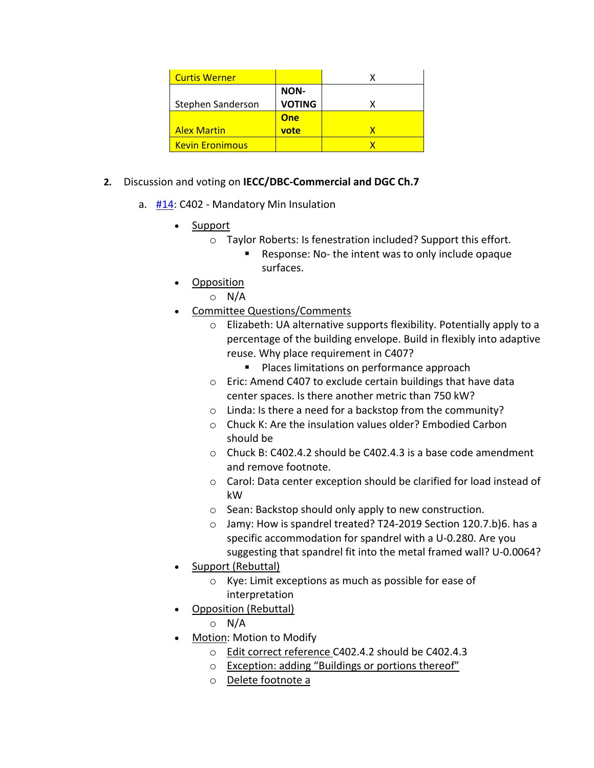| <b>Curtis Werner</b>   |               |  |
|------------------------|---------------|--|
|                        | NON-          |  |
| Stephen Sanderson      | <b>VOTING</b> |  |
|                        | One           |  |
| <b>Alex Martin</b>     | vote          |  |
| <b>Kevin Eronimous</b> |               |  |

- **2.** Discussion and voting on **IECC/DBC-Commercial and DGC Ch.7**
	- a. [#14:](https://www.denvergov.org/files/assets/public/community-planning-and-development/documents/ds/building-codes/code-adoption/amendment-proposals/iecc/iecc_c402_com.pdf) C402 Mandatory Min Insulation
		- Support
			- o Taylor Roberts: Is fenestration included? Support this effort.
				- Response: No- the intent was to only include opaque surfaces.
		- Opposition
			- o N/A
		- Committee Questions/Comments
			- o Elizabeth: UA alternative supports flexibility. Potentially apply to a percentage of the building envelope. Build in flexibly into adaptive reuse. Why place requirement in C407?
				- **Places limitations on performance approach**
			- o Eric: Amend C407 to exclude certain buildings that have data center spaces. Is there another metric than 750 kW?
			- o Linda: Is there a need for a backstop from the community?
			- o Chuck K: Are the insulation values older? Embodied Carbon should be
			- o Chuck B: C402.4.2 should be C402.4.3 is a base code amendment and remove footnote.
			- o Carol: Data center exception should be clarified for load instead of kW
			- o Sean: Backstop should only apply to new construction.
			- o Jamy: How is spandrel treated? T24-2019 Section 120.7.b)6. has a specific accommodation for spandrel with a U-0.280. Are you suggesting that spandrel fit into the metal framed wall? U-0.0064?
		- Support (Rebuttal)
			- o Kye: Limit exceptions as much as possible for ease of interpretation
		- **Opposition (Rebuttal)** 
			- o N/A
		- Motion: Motion to Modify
			- o Edit correct reference C402.4.2 should be C402.4.3
			- o Exception: adding "Buildings or portions thereof"
			- o Delete footnote a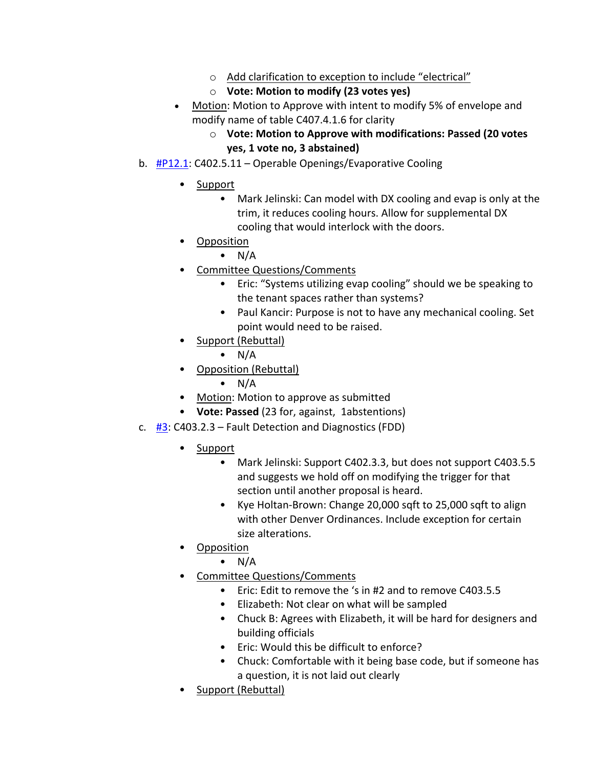- o Add clarification to exception to include "electrical"
- o **Vote: Motion to modify (23 votes yes)**
- Motion: Motion to Approve with intent to modify 5% of envelope and modify name of table C407.4.1.6 for clarity
	- o **Vote: Motion to Approve with modifications: Passed (20 votes yes, 1 vote no, 3 abstained)**
- b.  $\frac{\text{#P12.1}}{\text{P12.1}}$ : C402.5.11 Operable Openings/Evaporative Cooling
	- Support
		- Mark Jelinski: Can model with DX cooling and evap is only at the trim, it reduces cooling hours. Allow for supplemental DX cooling that would interlock with the doors.
	- Opposition
		- $\bullet$  N/A
		- Committee Questions/Comments
			- Eric: "Systems utilizing evap cooling" should we be speaking to the tenant spaces rather than systems?
			- Paul Kancir: Purpose is not to have any mechanical cooling. Set point would need to be raised.
	- Support (Rebuttal)
		- $\bullet$  N/A
	- Opposition (Rebuttal)
		- $\bullet$  N/A
	- Motion: Motion to approve as submitted
	- **Vote: Passed** (23 for, against, 1abstentions)
- c.  $\frac{H3}{2}$ : C403.2.3 Fault Detection and Diagnostics (FDD)
	- Support
		- Mark Jelinski: Support C402.3.3, but does not support C403.5.5 and suggests we hold off on modifying the trigger for that section until another proposal is heard.
		- Kye Holtan-Brown: Change 20,000 sqft to 25,000 sqft to align with other Denver Ordinances. Include exception for certain size alterations.
	- Opposition
		- $\bullet$  N/A
	- Committee Questions/Comments
		- Eric: Edit to remove the 's in #2 and to remove C403.5.5
		- Elizabeth: Not clear on what will be sampled
		- Chuck B: Agrees with Elizabeth, it will be hard for designers and building officials
		- Eric: Would this be difficult to enforce?
		- Chuck: Comfortable with it being base code, but if someone has a question, it is not laid out clearly
	- Support (Rebuttal)